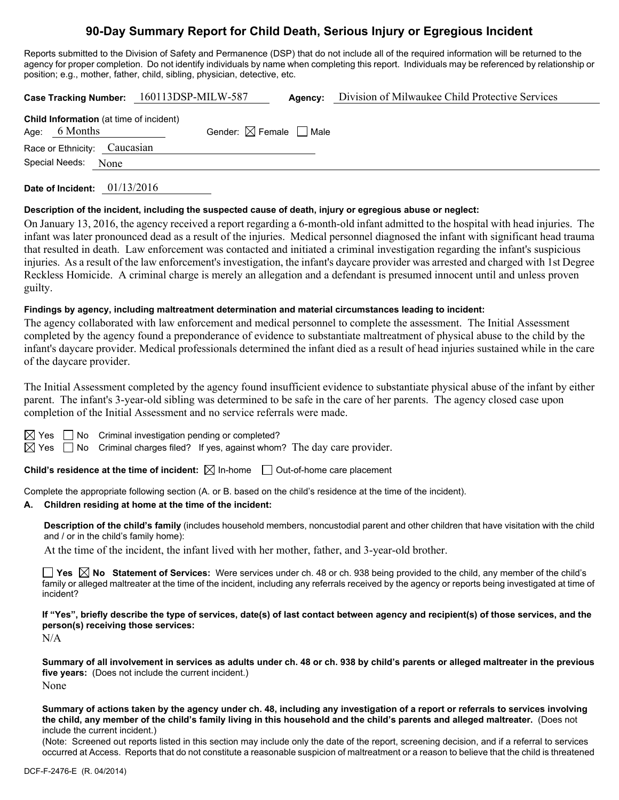# **90-Day Summary Report for Child Death, Serious Injury or Egregious Incident**

Reports submitted to the Division of Safety and Permanence (DSP) that do not include all of the required information will be returned to the agency for proper completion. Do not identify individuals by name when completing this report. Individuals may be referenced by relationship or position; e.g., mother, father, child, sibling, physician, detective, etc.

|                                                                   | Case Tracking Number: 160113DSP-MILW-587 | Agency: | Division of Milwaukee Child Protective Services |  |
|-------------------------------------------------------------------|------------------------------------------|---------|-------------------------------------------------|--|
| <b>Child Information</b> (at time of incident)<br>Age: $6$ Months | Gender: $\boxtimes$ Female $\Box$ Male   |         |                                                 |  |
| Race or Ethnicity: Caucasian                                      |                                          |         |                                                 |  |
| Special Needs:<br>None                                            |                                          |         |                                                 |  |

**Date of Incident:** 01/13/2016

### **Description of the incident, including the suspected cause of death, injury or egregious abuse or neglect:**

On January 13, 2016, the agency received a report regarding a 6-month-old infant admitted to the hospital with head injuries. The infant was later pronounced dead as a result of the injuries. Medical personnel diagnosed the infant with significant head trauma that resulted in death. Law enforcement was contacted and initiated a criminal investigation regarding the infant's suspicious injuries. As a result of the law enforcement's investigation, the infant's daycare provider was arrested and charged with 1st Degree Reckless Homicide. A criminal charge is merely an allegation and a defendant is presumed innocent until and unless proven guilty.

### **Findings by agency, including maltreatment determination and material circumstances leading to incident:**

The agency collaborated with law enforcement and medical personnel to complete the assessment. The Initial Assessment completed by the agency found a preponderance of evidence to substantiate maltreatment of physical abuse to the child by the infant's daycare provider. Medical professionals determined the infant died as a result of head injuries sustained while in the care of the daycare provider.

The Initial Assessment completed by the agency found insufficient evidence to substantiate physical abuse of the infant by either parent. The infant's 3-year-old sibling was determined to be safe in the care of her parents. The agency closed case upon completion of the Initial Assessment and no service referrals were made.

 $\Box$  No Criminal investigation pending or completed?

 $\boxtimes$  Yes  $\Box$  No Criminal charges filed? If yes, against whom? The day care provider.

**Child's residence at the time of incident:**  $\boxtimes$  In-home  $\Box$  Out-of-home care placement

Complete the appropriate following section (A. or B. based on the child's residence at the time of the incident).

## **A. Children residing at home at the time of the incident:**

**Description of the child's family** (includes household members, noncustodial parent and other children that have visitation with the child and / or in the child's family home):

At the time of the incident, the infant lived with her mother, father, and 3-year-old brother.

■ Yes **No** Statement of Services: Were services under ch. 48 or ch. 938 being provided to the child, any member of the child's family or alleged maltreater at the time of the incident, including any referrals received by the agency or reports being investigated at time of incident?

**If "Yes", briefly describe the type of services, date(s) of last contact between agency and recipient(s) of those services, and the person(s) receiving those services:** 

N/A

**Summary of all involvement in services as adults under ch. 48 or ch. 938 by child's parents or alleged maltreater in the previous five years:** (Does not include the current incident.) None

**Summary of actions taken by the agency under ch. 48, including any investigation of a report or referrals to services involving the child, any member of the child's family living in this household and the child's parents and alleged maltreater.** (Does not include the current incident.)

(Note: Screened out reports listed in this section may include only the date of the report, screening decision, and if a referral to services occurred at Access. Reports that do not constitute a reasonable suspicion of maltreatment or a reason to believe that the child is threatened